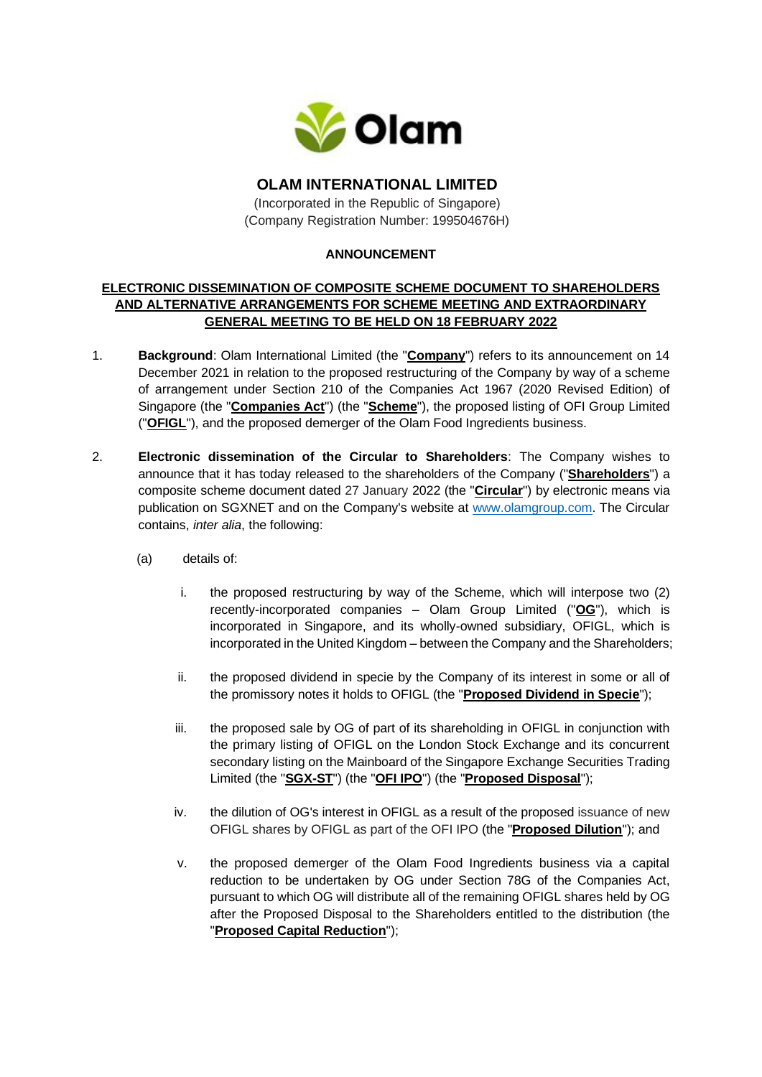

# **OLAM INTERNATIONAL LIMITED**

(Incorporated in the Republic of Singapore) (Company Registration Number: 199504676H)

### **ANNOUNCEMENT**

### **ELECTRONIC DISSEMINATION OF COMPOSITE SCHEME DOCUMENT TO SHAREHOLDERS AND ALTERNATIVE ARRANGEMENTS FOR SCHEME MEETING AND EXTRAORDINARY GENERAL MEETING TO BE HELD ON 18 FEBRUARY 2022**

- 1. **Background**: Olam International Limited (the "**Company**") refers to its announcement on 14 December 2021 in relation to the proposed restructuring of the Company by way of a scheme of arrangement under Section 210 of the Companies Act 1967 (2020 Revised Edition) of Singapore (the "**Companies Act**") (the "**Scheme**"), the proposed listing of OFI Group Limited ("**OFIGL**"), and the proposed demerger of the Olam Food Ingredients business.
- 2. **Electronic dissemination of the Circular to Shareholders**: The Company wishes to announce that it has today released to the shareholders of the Company ("**Shareholders**") a composite scheme document dated 27 January 2022 (the "**Circular**") by electronic means via publication on SGXNET and on the Company's website at [www.olamgroup.com.](http://www.olamgroup.com/) The Circular contains, *inter alia*, the following:
	- (a) details of:
		- i. the proposed restructuring by way of the Scheme, which will interpose two (2) recently-incorporated companies – Olam Group Limited ("**OG**"), which is incorporated in Singapore, and its wholly-owned subsidiary, OFIGL, which is incorporated in the United Kingdom – between the Company and the Shareholders;
		- ii. the proposed dividend in specie by the Company of its interest in some or all of the promissory notes it holds to OFIGL (the "**Proposed Dividend in Specie**");
		- iii. the proposed sale by OG of part of its shareholding in OFIGL in conjunction with the primary listing of OFIGL on the London Stock Exchange and its concurrent secondary listing on the Mainboard of the Singapore Exchange Securities Trading Limited (the "**SGX-ST**") (the "**OFI IPO**") (the "**Proposed Disposal**");
		- iv. the dilution of OG's interest in OFIGL as a result of the proposed issuance of new OFIGL shares by OFIGL as part of the OFI IPO (the "**Proposed Dilution**"); and
		- v. the proposed demerger of the Olam Food Ingredients business via a capital reduction to be undertaken by OG under Section 78G of the Companies Act, pursuant to which OG will distribute all of the remaining OFIGL shares held by OG after the Proposed Disposal to the Shareholders entitled to the distribution (the "**Proposed Capital Reduction**");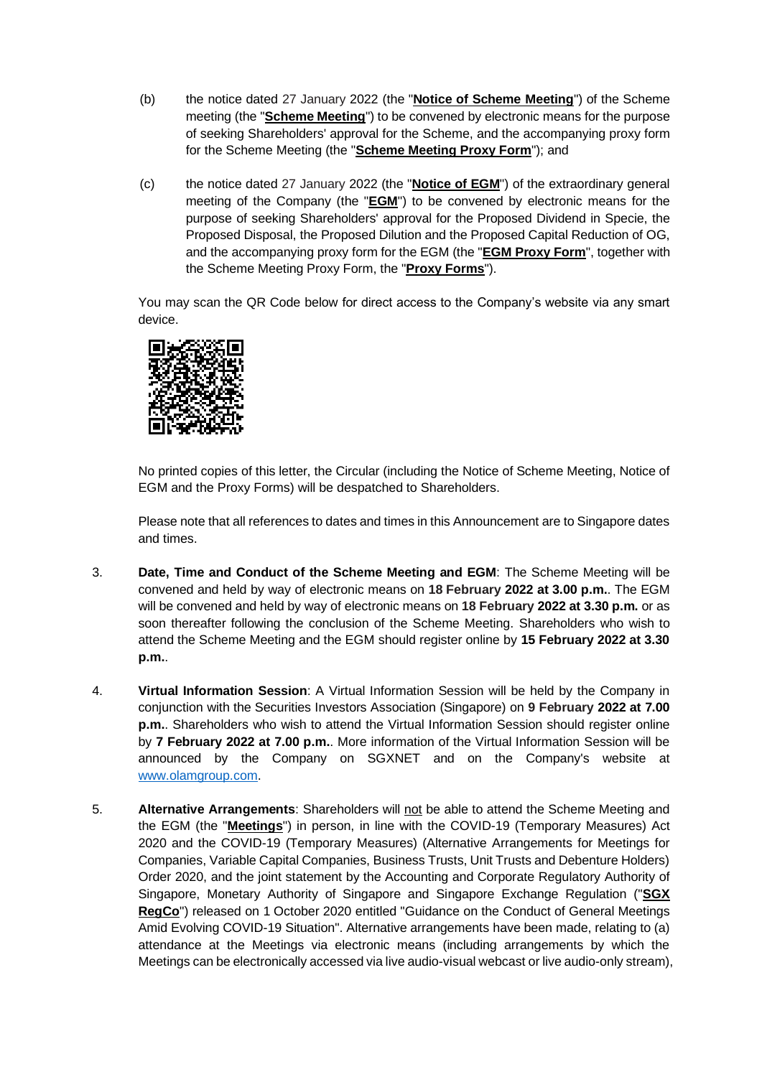- (b) the notice dated 27 January 2022 (the "**Notice of Scheme Meeting**") of the Scheme meeting (the "**Scheme Meeting**") to be convened by electronic means for the purpose of seeking Shareholders' approval for the Scheme, and the accompanying proxy form for the Scheme Meeting (the "**Scheme Meeting Proxy Form**"); and
- (c) the notice dated 27 January 2022 (the "**Notice of EGM**") of the extraordinary general meeting of the Company (the "**EGM**") to be convened by electronic means for the purpose of seeking Shareholders' approval for the Proposed Dividend in Specie, the Proposed Disposal, the Proposed Dilution and the Proposed Capital Reduction of OG, and the accompanying proxy form for the EGM (the "**EGM Proxy Form**", together with the Scheme Meeting Proxy Form, the "**Proxy Forms**").

You may scan the QR Code below for direct access to the Company's website via any smart device.



No printed copies of this letter, the Circular (including the Notice of Scheme Meeting, Notice of EGM and the Proxy Forms) will be despatched to Shareholders.

Please note that all references to dates and times in this Announcement are to Singapore dates and times.

- 3. **Date, Time and Conduct of the Scheme Meeting and EGM**: The Scheme Meeting will be convened and held by way of electronic means on **18 February 2022 at 3.00 p.m.**. The EGM will be convened and held by way of electronic means on **18 February 2022 at 3.30 p.m.** or as soon thereafter following the conclusion of the Scheme Meeting. Shareholders who wish to attend the Scheme Meeting and the EGM should register online by **15 February 2022 at 3.30 p.m.**.
- 4. **Virtual Information Session**: A Virtual Information Session will be held by the Company in conjunction with the Securities Investors Association (Singapore) on **9 February 2022 at 7.00 p.m.**. Shareholders who wish to attend the Virtual Information Session should register online by **7 February 2022 at 7.00 p.m.**. More information of the Virtual Information Session will be announced by the Company on SGXNET and on the Company's website at [www.olamgroup.com.](http://www.olamgroup.com/)
- 5. **Alternative Arrangements**: Shareholders will not be able to attend the Scheme Meeting and the EGM (the "**Meetings**") in person, in line with the COVID-19 (Temporary Measures) Act 2020 and the COVID-19 (Temporary Measures) (Alternative Arrangements for Meetings for Companies, Variable Capital Companies, Business Trusts, Unit Trusts and Debenture Holders) Order 2020, and the joint statement by the Accounting and Corporate Regulatory Authority of Singapore, Monetary Authority of Singapore and Singapore Exchange Regulation ("**SGX RegCo**") released on 1 October 2020 entitled "Guidance on the Conduct of General Meetings Amid Evolving COVID-19 Situation". Alternative arrangements have been made, relating to (a) attendance at the Meetings via electronic means (including arrangements by which the Meetings can be electronically accessed via live audio-visual webcast or live audio-only stream),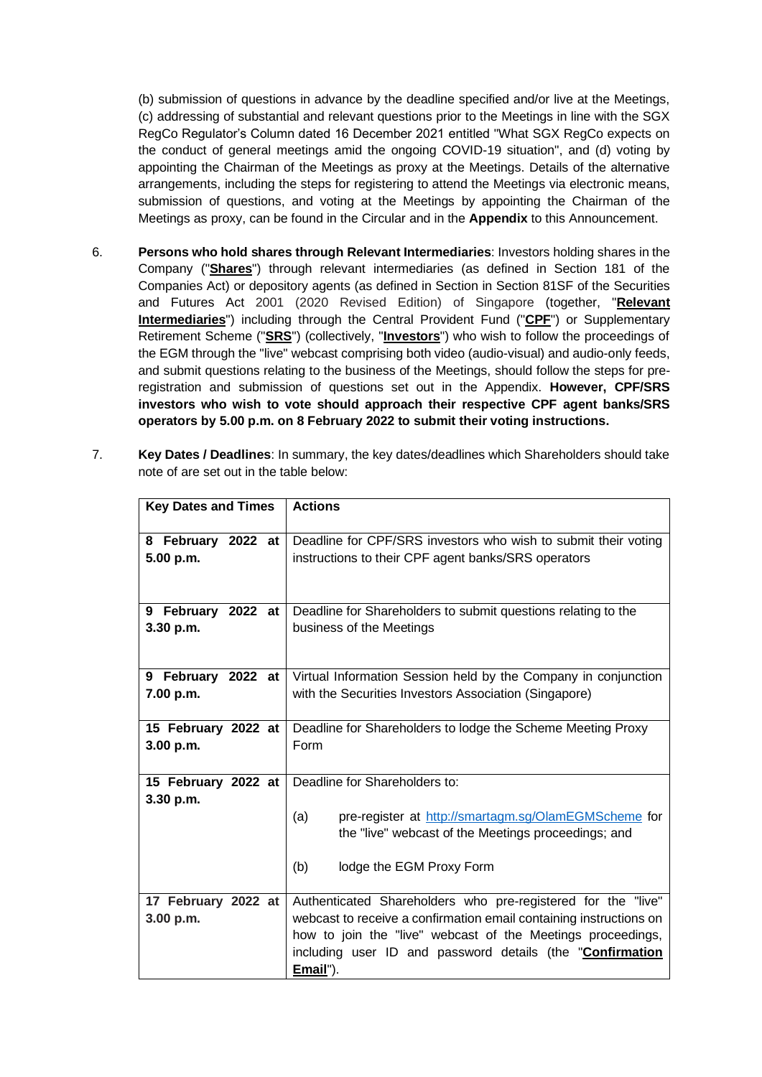(b) submission of questions in advance by the deadline specified and/or live at the Meetings, (c) addressing of substantial and relevant questions prior to the Meetings in line with the SGX RegCo Regulator's Column dated 16 December 2021 entitled "What SGX RegCo expects on the conduct of general meetings amid the ongoing COVID-19 situation", and (d) voting by appointing the Chairman of the Meetings as proxy at the Meetings. Details of the alternative arrangements, including the steps for registering to attend the Meetings via electronic means, submission of questions, and voting at the Meetings by appointing the Chairman of the Meetings as proxy, can be found in the Circular and in the **Appendix** to this Announcement.

- 6. **Persons who hold shares through Relevant Intermediaries**: Investors holding shares in the Company ("**Shares**") through relevant intermediaries (as defined in Section 181 of the Companies Act) or depository agents (as defined in Section in Section 81SF of the Securities and Futures Act 2001 (2020 Revised Edition) of Singapore (together, "**Relevant Intermediaries**") including through the Central Provident Fund ("**CPF**") or Supplementary Retirement Scheme ("**SRS**") (collectively, "**Investors**") who wish to follow the proceedings of the EGM through the "live" webcast comprising both video (audio-visual) and audio-only feeds, and submit questions relating to the business of the Meetings, should follow the steps for preregistration and submission of questions set out in the Appendix. **However, CPF/SRS investors who wish to vote should approach their respective CPF agent banks/SRS operators by 5.00 p.m. on 8 February 2022 to submit their voting instructions.**
- 7. **Key Dates / Deadlines**: In summary, the key dates/deadlines which Shareholders should take note of are set out in the table below:

| <b>Key Dates and Times</b> | <b>Actions</b>                                                     |
|----------------------------|--------------------------------------------------------------------|
|                            |                                                                    |
| 8 February 2022 at         | Deadline for CPF/SRS investors who wish to submit their voting     |
| 5.00 p.m.                  | instructions to their CPF agent banks/SRS operators                |
|                            |                                                                    |
|                            |                                                                    |
| 9 February 2022 at         | Deadline for Shareholders to submit questions relating to the      |
| 3.30 p.m.                  | business of the Meetings                                           |
|                            |                                                                    |
|                            |                                                                    |
| 9 February 2022 at         | Virtual Information Session held by the Company in conjunction     |
| 7.00 p.m.                  | with the Securities Investors Association (Singapore)              |
|                            |                                                                    |
| 15 February 2022 at        | Deadline for Shareholders to lodge the Scheme Meeting Proxy        |
| 3.00 p.m.                  | Form                                                               |
|                            |                                                                    |
| 15 February 2022 at        | Deadline for Shareholders to:                                      |
| 3.30 p.m.                  |                                                                    |
|                            | pre-register at http://smartagm.sg/OlamEGMScheme for<br>(a)        |
|                            | the "live" webcast of the Meetings proceedings; and                |
|                            |                                                                    |
|                            | (b)<br>lodge the EGM Proxy Form                                    |
|                            |                                                                    |
| 17 February 2022 at        | Authenticated Shareholders who pre-registered for the "live"       |
| 3.00 p.m.                  | webcast to receive a confirmation email containing instructions on |
|                            | how to join the "live" webcast of the Meetings proceedings,        |
|                            | including user ID and password details (the "Confirmation          |
|                            | Email").                                                           |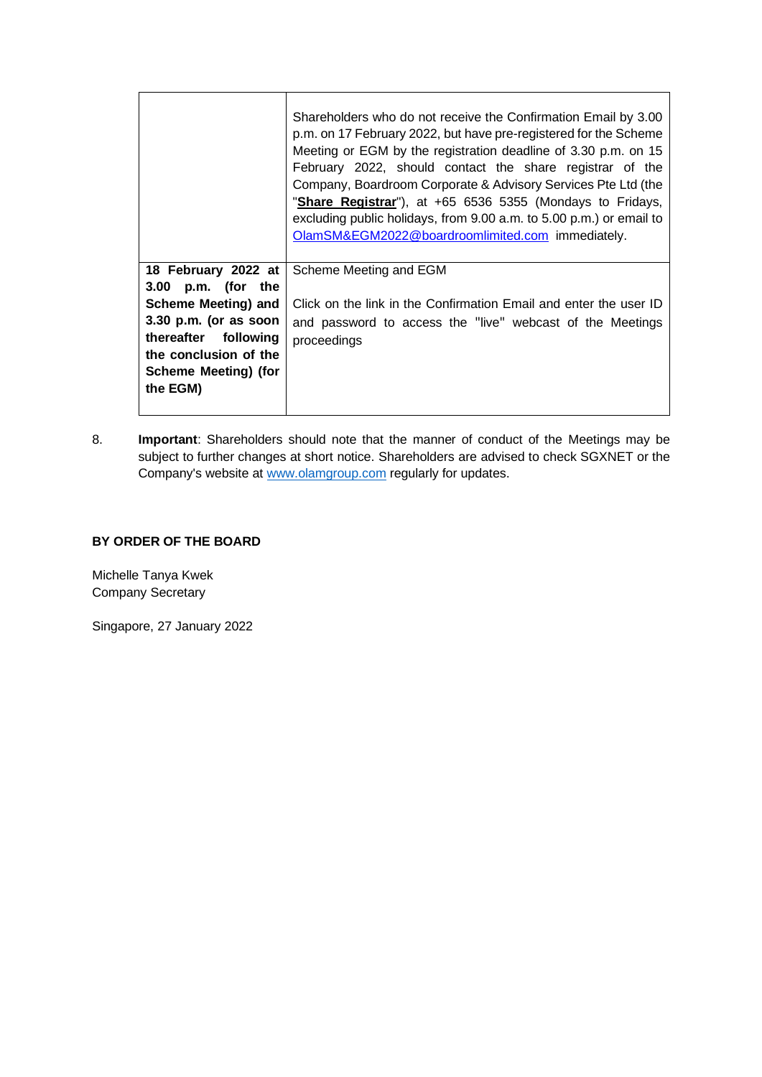|                                                                                                                                            | Shareholders who do not receive the Confirmation Email by 3.00<br>p.m. on 17 February 2022, but have pre-registered for the Scheme<br>Meeting or EGM by the registration deadline of 3.30 p.m. on 15<br>February 2022, should contact the share registrar of the<br>Company, Boardroom Corporate & Advisory Services Pte Ltd (the<br>"Share Registrar"), at +65 6536 5355 (Mondays to Fridays,<br>excluding public holidays, from 9.00 a.m. to 5.00 p.m.) or email to<br>OlamSM&EGM2022@boardroomlimited.com immediately. |
|--------------------------------------------------------------------------------------------------------------------------------------------|---------------------------------------------------------------------------------------------------------------------------------------------------------------------------------------------------------------------------------------------------------------------------------------------------------------------------------------------------------------------------------------------------------------------------------------------------------------------------------------------------------------------------|
| 18 February 2022 at<br>3.00 p.m. (for the                                                                                                  | Scheme Meeting and EGM                                                                                                                                                                                                                                                                                                                                                                                                                                                                                                    |
| Scheme Meeting) and<br>$3.30$ p.m. (or as soon<br>thereafter following<br>the conclusion of the<br><b>Scheme Meeting) (for</b><br>the EGM) | Click on the link in the Confirmation Email and enter the user ID<br>and password to access the "live" webcast of the Meetings<br>proceedings                                                                                                                                                                                                                                                                                                                                                                             |

8. **Important**: Shareholders should note that the manner of conduct of the Meetings may be subject to further changes at short notice. Shareholders are advised to check SGXNET or the Company's website at [www.olamgroup.com](http://www.olamgroup.com/) regularly for updates.

## **BY ORDER OF THE BOARD**

Michelle Tanya Kwek Company Secretary

Singapore, 27 January 2022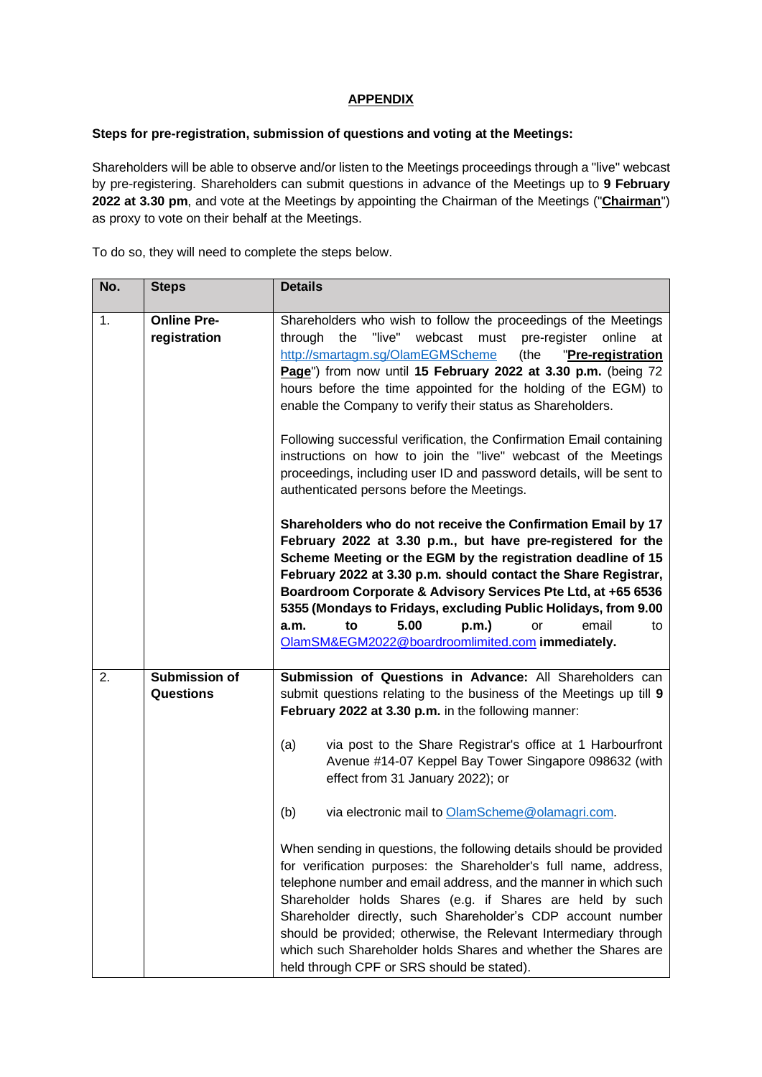### **APPENDIX**

### **Steps for pre-registration, submission of questions and voting at the Meetings:**

Shareholders will be able to observe and/or listen to the Meetings proceedings through a "live" webcast by pre-registering. Shareholders can submit questions in advance of the Meetings up to **9 February 2022 at 3.30 pm**, and vote at the Meetings by appointing the Chairman of the Meetings ("**Chairman**") as proxy to vote on their behalf at the Meetings.

To do so, they will need to complete the steps below.

| No. | <b>Steps</b>                             | <b>Details</b>                                                                                                                                                                                                                                                                                                                                                                                                                                                                                                                                                                                                                                                                   |
|-----|------------------------------------------|----------------------------------------------------------------------------------------------------------------------------------------------------------------------------------------------------------------------------------------------------------------------------------------------------------------------------------------------------------------------------------------------------------------------------------------------------------------------------------------------------------------------------------------------------------------------------------------------------------------------------------------------------------------------------------|
| 1.  | <b>Online Pre-</b><br>registration       | Shareholders who wish to follow the proceedings of the Meetings<br>"live"<br>webcast<br>must<br>through<br>the<br>pre-register<br>online<br>at<br>http://smartagm.sg/OlamEGMScheme<br>(the<br>"Pre-registration<br>Page") from now until 15 February 2022 at 3.30 p.m. (being 72<br>hours before the time appointed for the holding of the EGM) to<br>enable the Company to verify their status as Shareholders.<br>Following successful verification, the Confirmation Email containing<br>instructions on how to join the "live" webcast of the Meetings<br>proceedings, including user ID and password details, will be sent to<br>authenticated persons before the Meetings. |
|     |                                          | Shareholders who do not receive the Confirmation Email by 17<br>February 2022 at 3.30 p.m., but have pre-registered for the<br>Scheme Meeting or the EGM by the registration deadline of 15<br>February 2022 at 3.30 p.m. should contact the Share Registrar,<br>Boardroom Corporate & Advisory Services Pte Ltd, at +65 6536<br>5355 (Mondays to Fridays, excluding Public Holidays, from 9.00<br>5.00<br>p.m.)<br>email<br>to<br>or<br>a.m.<br>to<br>OlamSM&EGM2022@boardroomlimited.com immediately.                                                                                                                                                                          |
| 2.  | <b>Submission of</b><br><b>Questions</b> | Submission of Questions in Advance: All Shareholders can<br>submit questions relating to the business of the Meetings up till 9<br>February 2022 at 3.30 p.m. in the following manner:                                                                                                                                                                                                                                                                                                                                                                                                                                                                                           |
|     |                                          | via post to the Share Registrar's office at 1 Harbourfront<br>(a)<br>Avenue #14-07 Keppel Bay Tower Singapore 098632 (with<br>effect from 31 January 2022); or                                                                                                                                                                                                                                                                                                                                                                                                                                                                                                                   |
|     |                                          | (b)<br>via electronic mail to OlamScheme@olamagri.com.                                                                                                                                                                                                                                                                                                                                                                                                                                                                                                                                                                                                                           |
|     |                                          | When sending in questions, the following details should be provided<br>for verification purposes: the Shareholder's full name, address,<br>telephone number and email address, and the manner in which such<br>Shareholder holds Shares (e.g. if Shares are held by such<br>Shareholder directly, such Shareholder's CDP account number<br>should be provided; otherwise, the Relevant Intermediary through<br>which such Shareholder holds Shares and whether the Shares are<br>held through CPF or SRS should be stated).                                                                                                                                                      |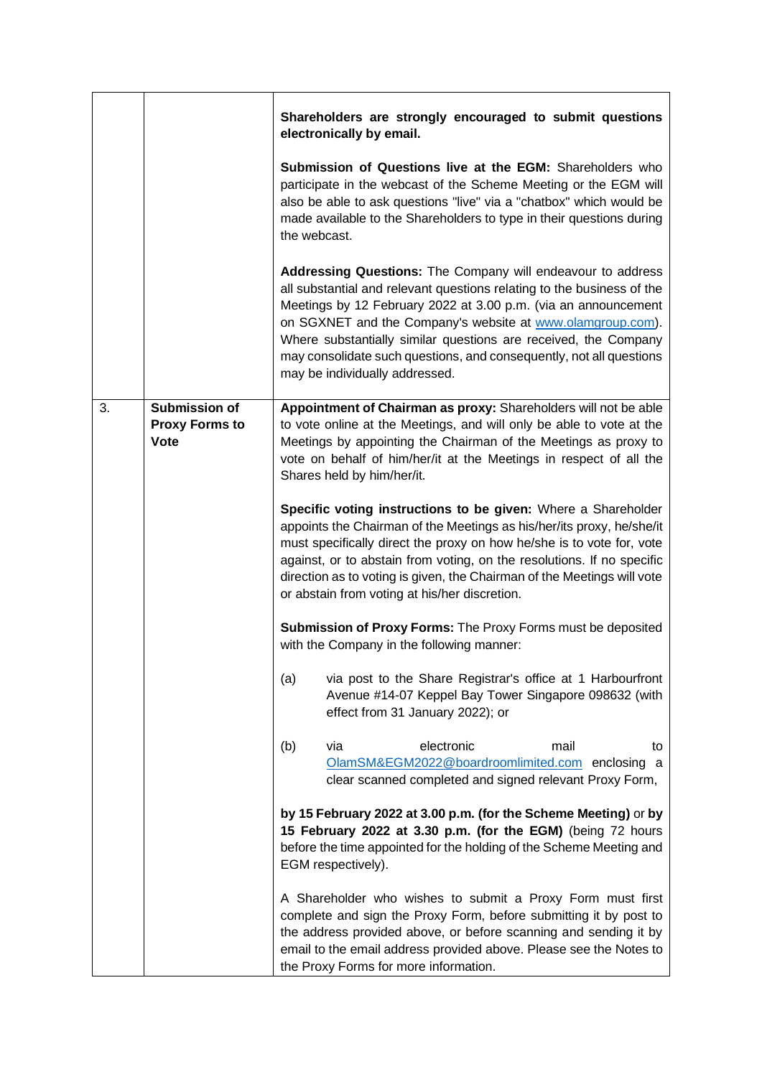|    |                                                       | Shareholders are strongly encouraged to submit questions<br>electronically by email.                                                                                                                                                                                                                                                                                                                                                              |
|----|-------------------------------------------------------|---------------------------------------------------------------------------------------------------------------------------------------------------------------------------------------------------------------------------------------------------------------------------------------------------------------------------------------------------------------------------------------------------------------------------------------------------|
|    |                                                       | <b>Submission of Questions live at the EGM:</b> Shareholders who<br>participate in the webcast of the Scheme Meeting or the EGM will<br>also be able to ask questions "live" via a "chatbox" which would be<br>made available to the Shareholders to type in their questions during<br>the webcast.                                                                                                                                               |
|    |                                                       | Addressing Questions: The Company will endeavour to address<br>all substantial and relevant questions relating to the business of the<br>Meetings by 12 February 2022 at 3.00 p.m. (via an announcement<br>on SGXNET and the Company's website at www.olamgroup.com).<br>Where substantially similar questions are received, the Company<br>may consolidate such questions, and consequently, not all questions<br>may be individually addressed. |
| 3. | Submission of<br><b>Proxy Forms to</b><br><b>Vote</b> | Appointment of Chairman as proxy: Shareholders will not be able<br>to vote online at the Meetings, and will only be able to vote at the<br>Meetings by appointing the Chairman of the Meetings as proxy to<br>vote on behalf of him/her/it at the Meetings in respect of all the<br>Shares held by him/her/it.                                                                                                                                    |
|    |                                                       | Specific voting instructions to be given: Where a Shareholder<br>appoints the Chairman of the Meetings as his/her/its proxy, he/she/it<br>must specifically direct the proxy on how he/she is to vote for, vote<br>against, or to abstain from voting, on the resolutions. If no specific<br>direction as to voting is given, the Chairman of the Meetings will vote<br>or abstain from voting at his/her discretion.                             |
|    |                                                       | Submission of Proxy Forms: The Proxy Forms must be deposited<br>with the Company in the following manner:                                                                                                                                                                                                                                                                                                                                         |
|    |                                                       | (a)<br>via post to the Share Registrar's office at 1 Harbourfront<br>Avenue #14-07 Keppel Bay Tower Singapore 098632 (with<br>effect from 31 January 2022); or                                                                                                                                                                                                                                                                                    |
|    |                                                       | electronic<br>(b)<br>via<br>mail<br>to<br>OlamSM&EGM2022@boardroomlimited.com enclosing a<br>clear scanned completed and signed relevant Proxy Form,                                                                                                                                                                                                                                                                                              |
|    |                                                       | by 15 February 2022 at 3.00 p.m. (for the Scheme Meeting) or by<br>15 February 2022 at 3.30 p.m. (for the EGM) (being 72 hours<br>before the time appointed for the holding of the Scheme Meeting and<br>EGM respectively).                                                                                                                                                                                                                       |
|    |                                                       | A Shareholder who wishes to submit a Proxy Form must first<br>complete and sign the Proxy Form, before submitting it by post to<br>the address provided above, or before scanning and sending it by<br>email to the email address provided above. Please see the Notes to<br>the Proxy Forms for more information.                                                                                                                                |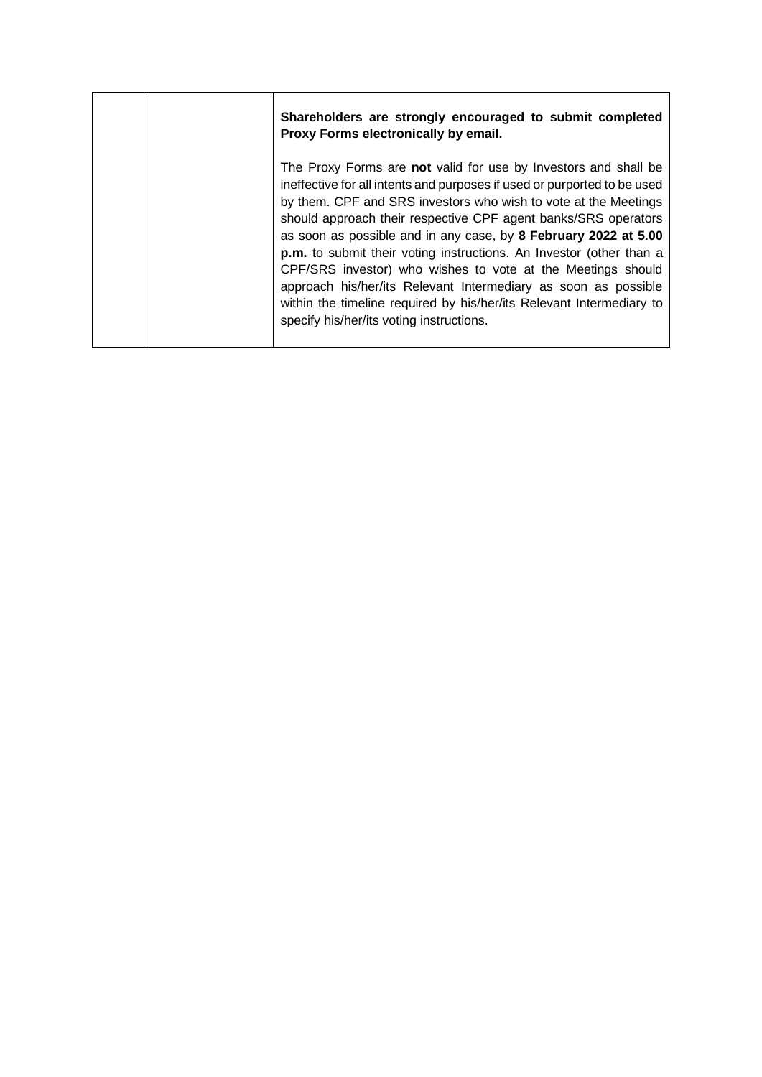| Shareholders are strongly encouraged to submit completed<br>Proxy Forms electronically by email.                                                                                                                                                                                                                                                                                                                                                                                                                                                                                                                                                                                |
|---------------------------------------------------------------------------------------------------------------------------------------------------------------------------------------------------------------------------------------------------------------------------------------------------------------------------------------------------------------------------------------------------------------------------------------------------------------------------------------------------------------------------------------------------------------------------------------------------------------------------------------------------------------------------------|
| The Proxy Forms are not valid for use by Investors and shall be<br>ineffective for all intents and purposes if used or purported to be used<br>by them. CPF and SRS investors who wish to vote at the Meetings<br>should approach their respective CPF agent banks/SRS operators<br>as soon as possible and in any case, by 8 February 2022 at 5.00<br>p.m. to submit their voting instructions. An Investor (other than a<br>CPF/SRS investor) who wishes to vote at the Meetings should<br>approach his/her/its Relevant Intermediary as soon as possible<br>within the timeline required by his/her/its Relevant Intermediary to<br>specify his/her/its voting instructions. |